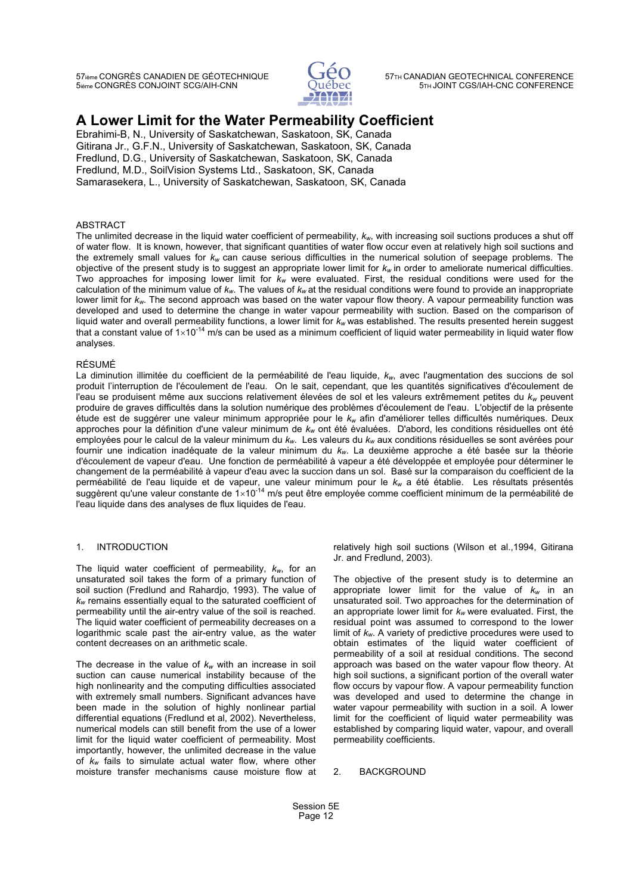57ième CONGRÈS CANADIEN DE GÉOTECHNIQUE 57TH CANADIAN GEOTECHNICAL CONFERENCE 5ième CONGRÈS CONJOINT SCG/AIH-CNN



# **A Lower Limit for the Water Permeability Coefficient**

Ebrahimi-B, N., University of Saskatchewan, Saskatoon, SK, Canada Gitirana Jr., G.F.N., University of Saskatchewan, Saskatoon, SK, Canada Fredlund, D.G., University of Saskatchewan, Saskatoon, SK, Canada Fredlund, M.D., SoilVision Systems Ltd., Saskatoon, SK, Canada Samarasekera, L., University of Saskatchewan, Saskatoon, SK, Canada

## ABSTRACT

The unlimited decrease in the liquid water coefficient of permeability,  $k_w$ , with increasing soil suctions produces a shut off of water flow. It is known, however, that significant quantities of water flow occur even at relatively high soil suctions and the extremely small values for *kw* can cause serious difficulties in the numerical solution of seepage problems. The objective of the present study is to suggest an appropriate lower limit for *kw* in order to ameliorate numerical difficulties. Two approaches for imposing lower limit for *kw* were evaluated. First, the residual conditions were used for the calculation of the minimum value of  $k_w$ . The values of  $k_w$  at the residual conditions were found to provide an inappropriate lower limit for  $k_w$ . The second approach was based on the water vapour flow theory. A vapour permeability function was developed and used to determine the change in water vapour permeability with suction. Based on the comparison of liquid water and overall permeability functions, a lower limit for  $k_w$  was established. The results present liquid water and overall permeability functions, a lower limit for k<sub>w</sub> was established. The results presented herein suggest<br>that a constant value of 1×10<sup>-14</sup> m/s can be used as a minimum coefficient of liquid water per analyses.

## RÉSUMÉ

La diminution illimitée du coefficient de la perméabilité de l'eau liquide, *kw*, avec l'augmentation des succions de sol produit l'interruption de l'écoulement de l'eau. On le sait, cependant, que les quantités significatives d'écoulement de l'eau se produisent même aux succions relativement élevées de sol et les valeurs extrêmement petites du *kw* peuvent produire de graves difficultés dans la solution numérique des problèmes d'écoulement de l'eau. L'objectif de la présente étude est de suggérer une valeur minimum appropriée pour le *kw* afin d'améliorer telles difficultés numériques. Deux approches pour la définition d'une valeur minimum de *kw* ont été évaluées. D'abord, les conditions résiduelles ont été employées pour le calcul de la valeur minimum du *kw*. Les valeurs du *kw* aux conditions résiduelles se sont avérées pour fournir une indication inadéquate de la valeur minimum du *kw*. La deuxième approche a été basée sur la théorie d'écoulement de vapeur d'eau. Une fonction de perméabilité à vapeur a été développée et employée pour déterminer le changement de la perméabilité à vapeur d'eau avec la succion dans un sol. Basé sur la comparaison du coefficient de la perméabilité de l'eau liquide et de vapeur, une valeur minimum pour le k<sub>w</sub> a été établie. Les résultats présentés<br>suggèrent qu'une valeur constante de 1×10<sup>-14</sup> m/s peut être employée comme coefficient minimum de la perm l'eau liquide dans des analyses de flux liquides de l'eau.

## 1. INTRODUCTION

The liquid water coefficient of permeability, *kw*, for an unsaturated soil takes the form of a primary function of soil suction (Fredlund and Rahardjo, 1993). The value of *kw* remains essentially equal to the saturated coefficient of permeability until the air-entry value of the soil is reached. The liquid water coefficient of permeability decreases on a logarithmic scale past the air-entry value, as the water content decreases on an arithmetic scale.

The decrease in the value of  $k_w$  with an increase in soil suction can cause numerical instability because of the high nonlinearity and the computing difficulties associated with extremely small numbers. Significant advances have been made in the solution of highly nonlinear partial differential equations (Fredlund et al, 2002). Nevertheless, numerical models can still benefit from the use of a lower limit for the liquid water coefficient of permeability. Most importantly, however, the unlimited decrease in the value of *kw* fails to simulate actual water flow, where other moisture transfer mechanisms cause moisture flow at relatively high soil suctions (Wilson et al.,1994, Gitirana Jr. and Fredlund, 2003).

The objective of the present study is to determine an appropriate lower limit for the value of *kw* in an unsaturated soil. Two approaches for the determination of an appropriate lower limit for  $k_w$  were evaluated. First, the residual point was assumed to correspond to the lower limit of *kw*. A variety of predictive procedures were used to obtain estimates of the liquid water coefficient of permeability of a soil at residual conditions. The second approach was based on the water vapour flow theory. At high soil suctions, a significant portion of the overall water flow occurs by vapour flow. A vapour permeability function was developed and used to determine the change in water vapour permeability with suction in a soil. A lower limit for the coefficient of liquid water permeability was established by comparing liquid water, vapour, and overall permeability coefficients.

2. BACKGROUND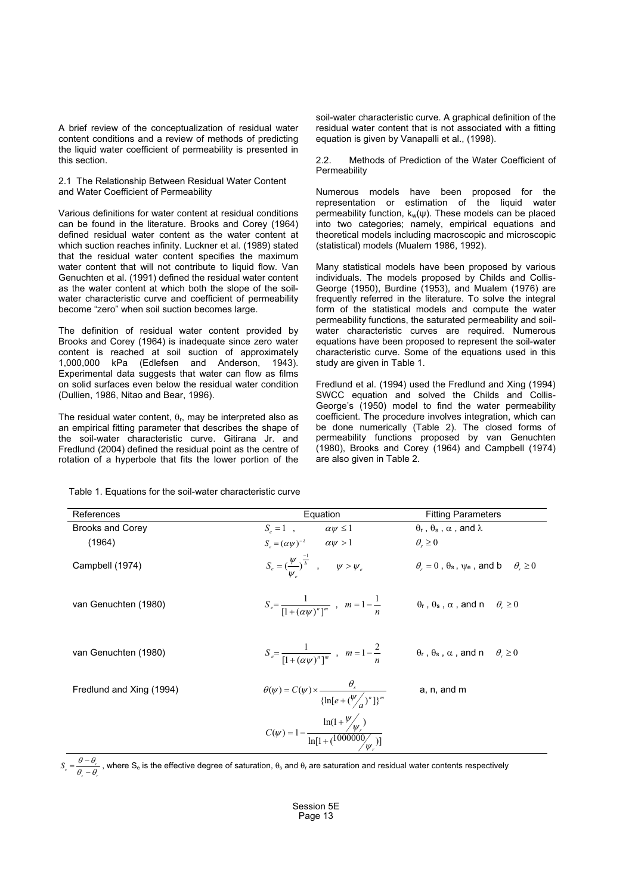A brief review of the conceptualization of residual water content conditions and a review of methods of predicting the liquid water coefficient of permeability is presented in this section.

2.1 The Relationship Between Residual Water Content and Water Coefficient of Permeability

Various definitions for water content at residual conditions can be found in the literature. Brooks and Corey (1964) defined residual water content as the water content at which suction reaches infinity. Luckner et al. (1989) stated that the residual water content specifies the maximum water content that will not contribute to liquid flow. Van Genuchten et al. (1991) defined the residual water content as the water content at which both the slope of the soilwater characteristic curve and coefficient of permeability become "zero" when soil suction becomes large.

The definition of residual water content provided by Brooks and Corey (1964) is inadequate since zero water content is reached at soil suction of approximately 1,000,000 kPa (Edlefsen and Anderson, 1943). Experimental data suggests that water can flow as films on solid surfaces even below the residual water condition (Dullien, 1986, Nitao and Bear, 1996).

The residual water content,  $\theta_r$ , may be interpreted also as an empirical fitting parameter that describes the shape of the soil-water characteristic curve. Gitirana Jr. and Fredlund (2004) defined the residual point as the centre of rotation of a hyperbole that fits the lower portion of the soil-water characteristic curve. A graphical definition of the residual water content that is not associated with a fitting equation is given by Vanapalli et al., (1998).

2.2. Methods of Prediction of the Water Coefficient of **Permeability** 

Numerous models have been proposed for the representation or estimation of the liquid water permeability function,  $k_w(\psi)$ . These models can be placed into two categories; namely, empirical equations and theoretical models including macroscopic and microscopic (statistical) models (Mualem 1986, 1992).

Many statistical models have been proposed by various individuals. The models proposed by Childs and Collis-George (1950), Burdine (1953), and Mualem (1976) are frequently referred in the literature. To solve the integral form of the statistical models and compute the water permeability functions, the saturated permeability and soilwater characteristic curves are required. Numerous equations have been proposed to represent the soil-water characteristic curve. Some of the equations used in this study are given in Table 1.

Fredlund et al. (1994) used the Fredlund and Xing (1994) SWCC equation and solved the Childs and Collis-George's (1950) model to find the water permeability coefficient. The procedure involves integration, which can be done numerically (Table 2). The closed forms of permeability functions proposed by van Genuchten (1980), Brooks and Corey (1964) and Campbell (1974) are also given in Table 2.

Table 1. Equations for the soil-water characteristic curve

| References               | Equation                                                                                                                              | <b>Fitting Parameters</b>                                       |
|--------------------------|---------------------------------------------------------------------------------------------------------------------------------------|-----------------------------------------------------------------|
| <b>Brooks and Corey</b>  | $S_e = 1$ , $\alpha \psi \le 1$                                                                                                       | $\theta_r$ , $\theta_s$ , $\alpha$ , and $\lambda$              |
| (1964)                   | $S_e = (\alpha \psi)^{-\lambda} \qquad \alpha \psi > 1$                                                                               | $\theta_z \geq 0$                                               |
| Campbell (1974)          | $S_e = \left(\frac{\psi}{w}\right)^{\frac{-1}{b}} \quad , \qquad \psi > \psi_e$                                                       | $\theta_r = 0$ , $\theta_s$ , $\psi_e$ , and b $\theta_r \ge 0$ |
| van Genuchten (1980)     | $S_e = \frac{1}{\prod_{r} (\alpha u)^n \gamma^m}$ , $m = 1 - \frac{1}{n}$ $\theta_r$ , $\theta_s$ , $\alpha$ , and $n \theta_r \ge 0$ |                                                                 |
| van Genuchten (1980)     | $S_e = \frac{1}{\left[1 + (\alpha w)^n\right]^m}$ , $m = 1 - \frac{2}{n}$ $\theta_r$ , $\theta_s$ , $\alpha$ , and $n \theta_r \ge 0$ |                                                                 |
| Fredlund and Xing (1994) | $\theta(\psi) = C(\psi) \times \frac{\sigma_s}{\{\ln[e + (\frac{\psi}{\sigma})^n]\}^m}$                                               | a, n, and m                                                     |
|                          | $C(\psi) = 1 - \frac{\ln(1 + \frac{\psi}{\psi})}{\ln[1 + (1000000/\psi)]}$                                                            |                                                                 |

*s r*  $S_e = \frac{\theta - \theta_r}{\theta - \theta}$  $\theta$  -  $\theta$ -, where S<sub>e</sub> is the effective degree of saturation,  $\theta_s$  and  $\theta_r$  are saturation and residual water contents respectively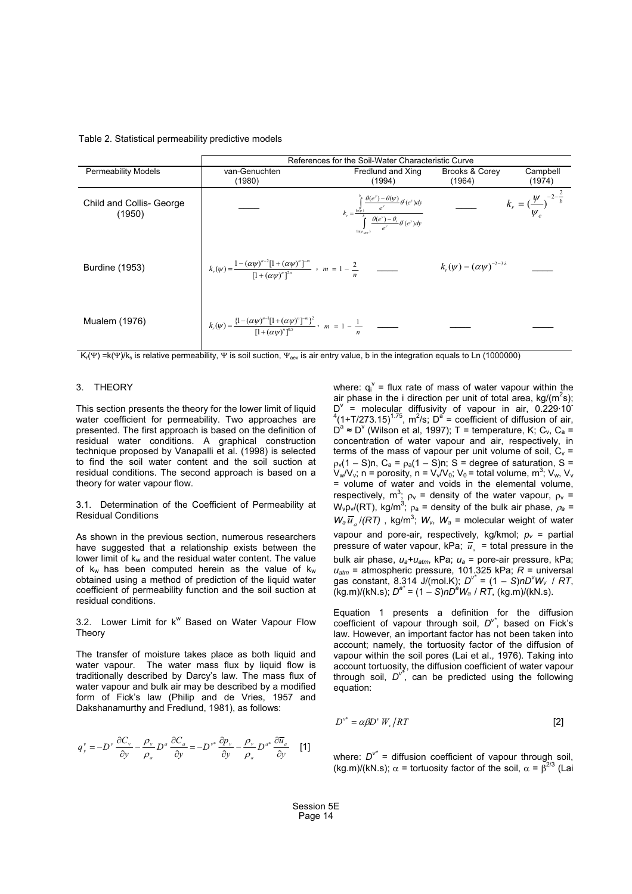#### Table 2. Statistical permeability predictive models

|                                    | References for the Soil-Water Characteristic Curve                                                                                   |                                                                                                                                                                          |                                             |                                                           |
|------------------------------------|--------------------------------------------------------------------------------------------------------------------------------------|--------------------------------------------------------------------------------------------------------------------------------------------------------------------------|---------------------------------------------|-----------------------------------------------------------|
| <b>Permeability Models</b>         | van-Genuchten                                                                                                                        | Fredlund and Xing                                                                                                                                                        | <b>Brooks &amp; Corey</b>                   | Campbell                                                  |
|                                    | (1980)                                                                                                                               | (1994)                                                                                                                                                                   | (1964)                                      | (1974)                                                    |
| Child and Collis- George<br>(1950) |                                                                                                                                      | $k_r = \frac{\int\limits_{\ln(\varphi)}^b \frac{\theta(e^y) - \theta(\psi)}{e^y} \theta(e^y) dy}{\int\limits_{e^y}^b \frac{\theta(e^y) - \theta_z}{e^y} \theta(e^y) dy}$ |                                             | $k_r = \left(\frac{\psi}{\psi_e}\right)^{-2-\frac{2}{b}}$ |
| <b>Burdine (1953)</b>              | $k_r(\psi) = \frac{1 - (\alpha \psi)^{n-2} [1 + (\alpha \psi)^n]^{-m}}{[1 + (\alpha \psi)^n]^{2n}}$ , $m = 1 - \frac{2}{n}$          |                                                                                                                                                                          | $k_{r}(\psi) = (\alpha \psi)^{-2-3\lambda}$ |                                                           |
| Mualem (1976)                      | $k_r(\psi) = \frac{\{1 - (\alpha \psi)^{n-1}[1 + (\alpha \psi)^n]^{-m}\}^2}{[1 + (\alpha \psi)^n]^{0.5}}, \quad m = 1 - \frac{1}{n}$ |                                                                                                                                                                          |                                             |                                                           |

K<sub>r</sub>( $\Psi$ ) =k( $\Psi$ )/k<sub>s</sub> is relative permeability,  $\Psi$  is soil suction,  $\Psi_{\text{new}}$  is air entry value, b in the integration equals to Ln (1000000)

#### 3. THEORY

This section presents the theory for the lower limit of liquid water coefficient for permeability. Two approaches are presented. The first approach is based on the definition of residual water conditions. A graphical construction technique proposed by Vanapalli et al. (1998) is selected to find the soil water content and the soil suction at residual conditions. The second approach is based on a theory for water vapour flow.

3.1. Determination of the Coefficient of Permeability at Residual Conditions

As shown in the previous section, numerous researchers have suggested that a relationship exists between the lower limit of  $k_w$  and the residual water content. The value of  $k_w$  has been computed herein as the value of  $k_w$ obtained using a method of prediction of the liquid water coefficient of permeability function and the soil suction at residual conditions.

3.2. Lower Limit for k<sup>w</sup> Based on Water Vapour Flow Theory

The transfer of moisture takes place as both liquid and water vapour. The water mass flux by liquid flow is traditionally described by Darcy's law. The mass flux of water vapour and bulk air may be described by a modified form of Fick's law (Philip and de Vries, 1957 and Dakshanamurthy and Fredlund, 1981), as follows:

$$
q_{y}^{v} = -D^{v} \frac{\partial C_{v}}{\partial y} - \frac{\rho_{v}}{\rho_{a}} D^{a} \frac{\partial C_{a}}{\partial y} = -D^{v*} \frac{\partial p_{v}}{\partial y} - \frac{\rho_{v}}{\rho_{a}} D^{a*} \frac{\partial \overline{u}_{a}}{\partial y}
$$
 [1]

where:  $q_i^{\vee}$  = flux rate of mass of water vapour within the air phase in the i direction per unit of total area, kg/(m<sup>2</sup>s); D<sup>v</sup> = molecular diffusivity of vapour in air, 0.229.10<sup>-</sup><br><sup>4</sup>(1+T/273.15)<sup>1.75</sup>, m<sup>2</sup>/s; D<sup>a</sup> = coefficient of diffusion of air,  $D^a \approx D^v$  (Wilson et al, 1997); T = temperature, K; C<sub>v</sub>, C<sub>a</sub> = concentration of water vapour and air, respectively, in terms of the mass of vapour per unit volume of soil,  $C_v$  =  $p_v(1 - S)n$ , C<sub>a</sub> =  $p_a(1 - S)n$ ; S = degree of saturation, S =  $V_w/V_v$ ; n = porosity, n =  $V_w/V_0$ ;  $V_0$  = total volume, m<sup>3</sup>;  $V_w$ ,  $V_v$ = volume of water and voids in the elemental volume, respectively, m<sup>3</sup>;  $\rho_v$  = density of the water vapour,  $\rho_v$  =  $W_v p_v/(RT)$ , kg/m<sup>3</sup>;  $p_a$  = density of the bulk air phase,  $p_a$  =  $W_u \overline{V}$ ,  $U(T)$ , links<sup>3</sup>,  $W_u$ ,  $M_v$  = analyze unight of unter- $W_a \overline{u}_a / (RT)$ , kg/m<sup>3</sup>;  $W_v$ ,  $W_a$  = molecular weight of water vapour and pore-air, respectively, kg/kmol;  $p_v$  = partial pressure of water vapour, kPa;  $\overline{u}_a$  = total pressure in the bulk air phase, *ua+uatm*, kPa; *ua* = pore-air pressure, kPa; *uatm* = atmospheric pressure, 101.325 kPa; *R* = universal gas constant, 8.314 J/(mol.K); *Dv\** = (1 *– S*)*nDv* gas constant, 8.314 J/(mol.K);  $D^{v^*} = (1 - S)nD^{v}W_v$  / RT, (kg.m)/(kN.s); *Da\** = (1 – *S*)*nDa Wa* / *RT*, (kg.m)/(kN.s).

Equation 1 presents a definition for the diffusion coefficient of vapour through soil, *Dv\**, based on Fick's law. However, an important factor has not been taken into account; namely, the tortuosity factor of the diffusion of vapour within the soil pores (Lai et al., 1976). Taking into account tortuosity, the diffusion coefficient of water vapour through soil, *Dv\**, can be predicted using the following equation:

$$
D^{\nu^*} = \alpha \beta D^{\nu} W_{\nu} / RT \tag{2}
$$

where:  $D^{v^*}$  = diffusion coefficient of vapour through soil, (ka.m)/(kN.s);  $\alpha$  = tortuosity factor of the soil,  $\alpha$  =  $\beta^{2/3}$  (Lai (kg.m)/(kN.s);  $\alpha$  = tortuosity factor of the soil,  $\alpha = \beta^{2/3}$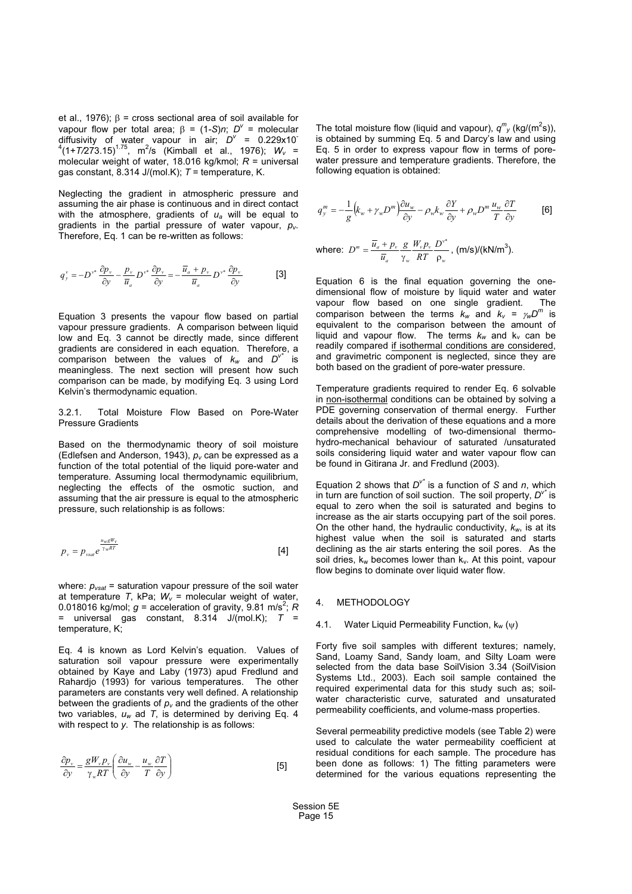et al., 1976);  $\beta$  = cross sectional area of soil available for vapour flow per total area; β = (1-S)*n*; *D'* = molecular<br>diffusivity, of water, yapour, in air: *D'* = 0.229x10 diffusivity of water vapour in air;  $D^{\vee}$  = 0.229x10<sup>-4</sup><br>(1+*T/*273.15)<sup>1.75</sup>, m<sup>2</sup>/s (Kimball et al., 1976); *W<sub>v</sub>* = molecular weight of water 18.016 kg/kmol: R = universal molecular weight of water, 18.016 kg/kmol; *R* = universal gas constant, 8.314 J/(mol.K); *T* = temperature, K.

Neglecting the gradient in atmospheric pressure and assuming the air phase is continuous and in direct contact with the atmosphere, gradients of *ua* will be equal to gradients in the partial pressure of water vapour, *pv*. Therefore, Eq. 1 can be re-written as follows:

$$
q_{y}^{v} = -D^{v^*} \frac{\partial p_{v}}{\partial y} - \frac{p_{v}}{\overline{u}_{a}} D^{v^*} \frac{\partial p_{v}}{\partial y} = -\frac{\overline{u}_{a} + p_{v}}{\overline{u}_{a}} D^{v^*} \frac{\partial p_{v}}{\partial y}
$$
 [3]

Equation 3 presents the vapour flow based on partial vapour pressure gradients. A comparison between liquid low and Eq. 3 cannot be directly made, since different gradients are considered in each equation. Therefore, a comparison between the values of  $k_w$  and  $D^{v^*}$  is meaningless. The next section will present how such comparison can be made, by modifying Eq. 3 using Lord Kelvin's thermodynamic equation.

3.2.1. Total Moisture Flow Based on Pore-Water Pressure Gradients

Based on the thermodynamic theory of soil moisture (Edlefsen and Anderson, 1943), *pv* can be expressed as a function of the total potential of the liquid pore-water and temperature. Assuming local thermodynamic equilibrium, neglecting the effects of the osmotic suction, and assuming that the air pressure is equal to the atmospheric pressure, such relationship is as follows:

$$
p_{v} = p_{vsa}e^{\frac{u_{w}gW_{v}}{\gamma_{w}RT}}
$$
 [4]

where:  $p_{\text{vsat}}$  = saturation vapour pressure of the soil water at temperature  $T$ , kPa;  $W_v$  = molecular weight of water, 0.018016 kg/mol;  $g$  = acceleration of gravity, 9.81 m/s<sup>2</sup>; *R*<br>= universal gas constant 8.314 J/(mol K); *T* =  $=$  universal gas constant, 8.314 J/(mol.K);  $T =$ temperature, K;

Eq. 4 is known as Lord Kelvin's equation. Values of saturation soil vapour pressure were experimentally obtained by Kaye and Laby (1973) apud Fredlund and Rahardjo (1993) for various temperatures. The other parameters are constants very well defined. A relationship between the gradients of *pv* and the gradients of the other two variables, *uw* ad *T*, is determined by deriving Eq. 4 with respect to *y*. The relationship is as follows:

$$
\frac{\partial p_{\nu}}{\partial y} = \frac{gW_{\nu}p_{\nu}}{\gamma_{\omega}RT} \left( \frac{\partial u_{\omega}}{\partial y} - \frac{u_{\omega}}{T} \frac{\partial T}{\partial y} \right)
$$
 [5]

The total moisture flow (liquid and vapour), *q<sup>m</sup>* is obtained by summing Eq. 5 and Darcy's law and using *y* (kg/(m<sup>2</sup>s)), Eq. 5 in order to express vapour flow in terms of porewater pressure and temperature gradients. Therefore, the following equation is obtained:

$$
q_{y}^{m} = -\frac{1}{g} \left(k_{w} + \gamma_{w} D^{m}\right) \frac{\partial u_{w}}{\partial y} - \rho_{w} k_{w} \frac{\partial Y}{\partial y} + \rho_{w} D^{m} \frac{u_{w}}{T} \frac{\partial T}{\partial y}
$$
 [6]

where: 
$$
D''' = \frac{\overline{u}_a + p_v}{\overline{u}_a} \frac{g}{\gamma_w} \frac{W_v p_v}{RT} \frac{D^{v^*}}{\rho_w}, \text{ (m/s)/(kN/m}^3).
$$

Equation 6 is the final equation governing the onedimensional flow of moisture by liquid water and water vapour flow based on one single gradient. The comparison between the terms  $k_w$  and  $k_v = \gamma_w D^m$  is equivalent to the comparison between the amount of liquid and vapour flow. The terms  $k_w$  and  $k_v$  can be readily compared if isothermal conditions are considered, and gravimetric component is neglected, since they are both based on the gradient of pore-water pressure.

Temperature gradients required to render Eq. 6 solvable in non-isothermal conditions can be obtained by solving a PDE governing conservation of thermal energy. Further details about the derivation of these equations and a more comprehensive modelling of two-dimensional thermohydro-mechanical behaviour of saturated /unsaturated soils considering liquid water and water vapour flow can be found in Gitirana Jr. and Fredlund (2003).

Equation 2 shows that *Dv\** is a function of *S* and *n*, which in turn are function of soil suction. The soil property, *Dv\** is equal to zero when the soil is saturated and begins to increase as the air starts occupying part of the soil pores. On the other hand, the hydraulic conductivity,  $k_w$ , is at its highest value when the soil is saturated and starts declining as the air starts entering the soil pores. As the soil dries,  $k_w$  becomes lower than  $k_v$ . At this point, vapour flow begins to dominate over liquid water flow.

#### 4. METHODOLOGY

#### 4.1. Water Liquid Permeability Function,  $k_w(\psi)$

Forty five soil samples with different textures; namely, Sand, Loamy Sand, Sandy loam, and Silty Loam were selected from the data base SoilVision 3.34 (SoilVision Systems Ltd., 2003). Each soil sample contained the required experimental data for this study such as; soilwater characteristic curve, saturated and unsaturated permeability coefficients, and volume-mass properties.

Several permeability predictive models (see Table 2) were used to calculate the water permeability coefficient at residual conditions for each sample. The procedure has been done as follows: 1) The fitting parameters were determined for the various equations representing the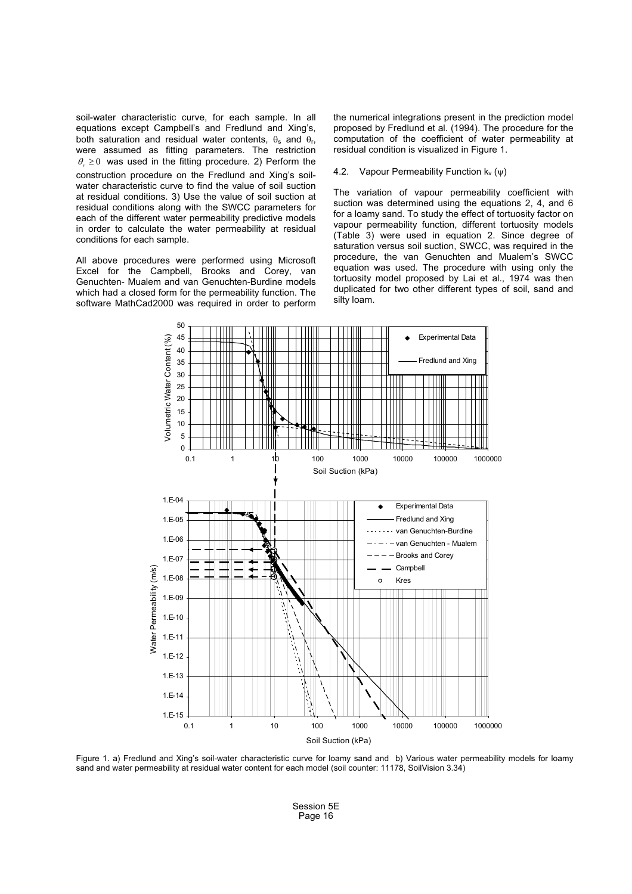soil-water characteristic curve, for each sample. In all equations except Campbell's and Fredlund and Xing's, both saturation and residual water contents,  $\theta_s$  and  $\theta_r$ , were assumed as fitting parameters. The restriction  $\theta_r \geq 0$  was used in the fitting procedure. 2) Perform the construction procedure on the Fredlund and Xing's soilwater characteristic curve to find the value of soil suction at residual conditions. 3) Use the value of soil suction at residual conditions along with the SWCC parameters for each of the different water permeability predictive models in order to calculate the water permeability at residual conditions for each sample.

All above procedures were performed using Microsoft Excel for the Campbell, Brooks and Corey, van Genuchten- Mualem and van Genuchten-Burdine models which had a closed form for the permeability function. The software MathCad2000 was required in order to perform the numerical integrations present in the prediction model proposed by Fredlund et al. (1994). The procedure for the computation of the coefficient of water permeability at residual condition is visualized in Figure 1.

## 4.2. Vapour Permeability Function  $k_v(\psi)$

The variation of vapour permeability coefficient with suction was determined using the equations 2, 4, and 6 for a loamy sand. To study the effect of tortuosity factor on vapour permeability function, different tortuosity models (Table 3) were used in equation 2. Since degree of saturation versus soil suction, SWCC, was required in the procedure, the van Genuchten and Mualem's SWCC equation was used. The procedure with using only the tortuosity model proposed by Lai et al., 1974 was then duplicated for two other different types of soil, sand and silty loam.



Figure 1. a) Fredlund and Xing's soil-water characteristic curve for loamy sand and b) Various water permeability models for loamy sand and water permeability at residual water content for each model (soil counter: 11178, SoilVision 3.34)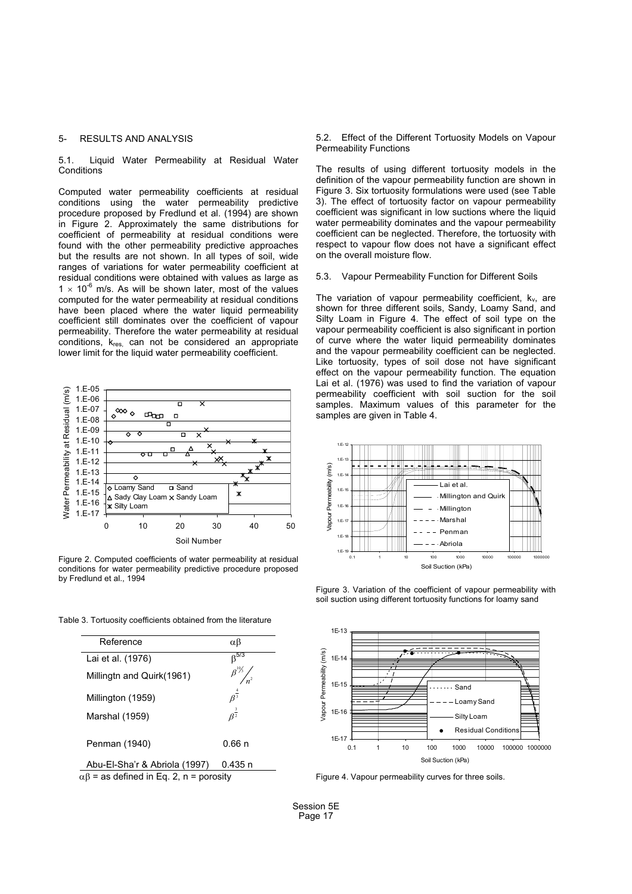# 5- RESULTS AND ANALYSIS

5.1. Liquid Water Permeability at Residual Water **Conditions** 

Computed water permeability coefficients at residual conditions using the water permeability predictive procedure proposed by Fredlund et al. (1994) are shown in Figure 2. Approximately the same distributions for coefficient of permeability at residual conditions were found with the other permeability predictive approaches but the results are not shown. In all types of soil, wide ranges of variations for water permeability coefficient at residual conditions were obtained with values as large as 1  $\times$  10<sup>-6</sup> m/s. As will be shown later, most of the values computed for the water permeability at residual conditions have been placed where the water liquid permeability coefficient still dominates over the coefficient of vapour permeability. Therefore the water permeability at residual conditions, kres, can not be considered an appropriate lower limit for the liquid water permeability coefficient.



Figure 2. Computed coefficients of water permeability at residual conditions for water permeability predictive procedure proposed by Fredlund et al., 1994

Table 3. Tortuosity coefficients obtained from the literature



 $\alpha\beta$  = as defined in Eq. 2, n = porosity

5.2. Effect of the Different Tortuosity Models on Vapour Permeability Functions

The results of using different tortuosity models in the definition of the vapour permeability function are shown in Figure 3. Six tortuosity formulations were used (see Table 3). The effect of tortuosity factor on vapour permeability coefficient was significant in low suctions where the liquid water permeability dominates and the vapour permeability coefficient can be neglected. Therefore, the tortuosity with respect to vapour flow does not have a significant effect on the overall moisture flow.

#### 5.3. Vapour Permeability Function for Different Soils

The variation of vapour permeability coefficient,  $k_v$ , are shown for three different soils, Sandy, Loamy Sand, and Silty Loam in Figure 4. The effect of soil type on the vapour permeability coefficient is also significant in portion of curve where the water liquid permeability dominates and the vapour permeability coefficient can be neglected. Like tortuosity, types of soil dose not have significant effect on the vapour permeability function. The equation Lai et al. (1976) was used to find the variation of vapour permeability coefficient with soil suction for the soil samples. Maximum values of this parameter for the samples are given in Table 4.



Figure 3. Variation of the coefficient of vapour permeability with soil suction using different tortuosity functions for loamy sand



Figure 4. Vapour permeability curves for three soils.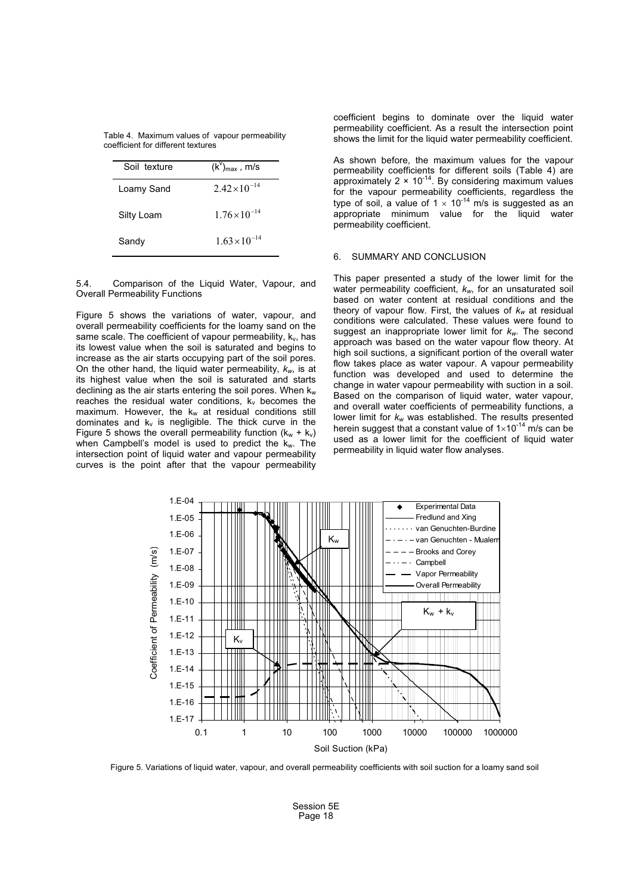|  |                                    | Table 4. Maximum values of vapour permeability |
|--|------------------------------------|------------------------------------------------|
|  | coefficient for different textures |                                                |

| Soil texture | $(k^{\vee})_{\text{max}}$ , m/s |
|--------------|---------------------------------|
| Loamy Sand   | $2.42\times10^{-14}$            |
| Silty Loam   | $1.76 \times 10^{-14}$          |
| Sandy        | $1.63\times10^{-14}$            |

5.4. Comparison of the Liquid Water, Vapour, and Overall Permeability Functions

Figure 5 shows the variations of water, vapour, and overall permeability coefficients for the loamy sand on the same scale. The coefficient of vapour permeability,  $k_{v}$ , has its lowest value when the soil is saturated and begins to increase as the air starts occupying part of the soil pores. On the other hand, the liquid water permeability, *kw*, is at its highest value when the soil is saturated and starts declining as the air starts entering the soil pores. When  $k_w$ reaches the residual water conditions,  $k_v$  becomes the maximum. However, the  $k_w$  at residual conditions still dominates and  $k_v$  is negligible. The thick curve in the Figure 5 shows the overall permeability function  $(k_w + k_v)$ when Campbell's model is used to predict the  $k_w$ . The intersection point of liquid water and vapour permeability curves is the point after that the vapour permeability

coefficient begins to dominate over the liquid water permeability coefficient. As a result the intersection point shows the limit for the liquid water permeability coefficient.

As shown before, the maximum values for the vapour permeability coefficients for different soils (Table 4) are approximately  $2 \times 10^{-14}$ . By considering maximum values for the vapour permeability coefficients, regardless the type of soil, a value of 1  $\times$  10<sup>-14</sup> m/s is suggested as an appropriate minimum value for the liquid water permeability coefficient.

## 6. SUMMARY AND CONCLUSION

This paper presented a study of the lower limit for the water permeability coefficient, *kw*, for an unsaturated soil based on water content at residual conditions and the theory of vapour flow. First, the values of *kw* at residual conditions were calculated. These values were found to suggest an inappropriate lower limit for *kw*. The second approach was based on the water vapour flow theory. At high soil suctions, a significant portion of the overall water flow takes place as water vapour. A vapour permeability function was developed and used to determine the change in water vapour permeability with suction in a soil. Based on the comparison of liquid water, water vapour, and overall water coefficients of permeability functions, a lower limit for  $k_w$  was established. The results presented lower limit for *k<sub>w</sub> w*as established. The results presented<br>herein suggest that a constant value of 1×10<sup>-14</sup> m/s can be used as a lower limit for the coefficient of liquid water permeability in liquid water flow analyses.



Figure 5. Variations of liquid water, vapour, and overall permeability coefficients with soil suction for a loamy sand soil